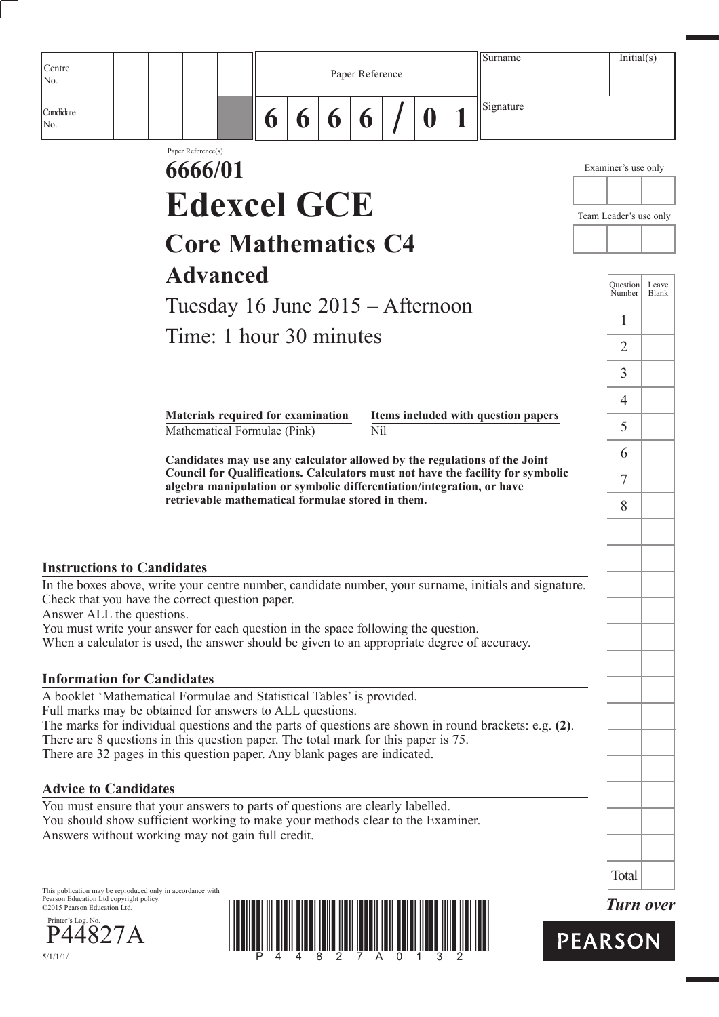| Centre                                                                                                                                                                                                                                                           |                                                                                                                            |   |   |   |                 |          | Surname                                                                                                                                                      |                | Initial(s)             |              |
|------------------------------------------------------------------------------------------------------------------------------------------------------------------------------------------------------------------------------------------------------------------|----------------------------------------------------------------------------------------------------------------------------|---|---|---|-----------------|----------|--------------------------------------------------------------------------------------------------------------------------------------------------------------|----------------|------------------------|--------------|
| No.                                                                                                                                                                                                                                                              |                                                                                                                            |   |   |   | Paper Reference |          |                                                                                                                                                              |                |                        |              |
| Candidate<br>No.                                                                                                                                                                                                                                                 |                                                                                                                            | 6 | 6 | 6 | 6               | $\bf{0}$ | Signature                                                                                                                                                    |                |                        |              |
|                                                                                                                                                                                                                                                                  | Paper Reference(s)<br>6666/01                                                                                              |   |   |   |                 |          |                                                                                                                                                              |                | Examiner's use only    |              |
|                                                                                                                                                                                                                                                                  |                                                                                                                            |   |   |   |                 |          |                                                                                                                                                              |                |                        |              |
|                                                                                                                                                                                                                                                                  | <b>Edexcel GCE</b>                                                                                                         |   |   |   |                 |          |                                                                                                                                                              |                | Team Leader's use only |              |
|                                                                                                                                                                                                                                                                  | <b>Core Mathematics C4</b>                                                                                                 |   |   |   |                 |          |                                                                                                                                                              |                |                        |              |
|                                                                                                                                                                                                                                                                  | <b>Advanced</b>                                                                                                            |   |   |   |                 |          |                                                                                                                                                              |                | <b>Question</b>        | Leave        |
|                                                                                                                                                                                                                                                                  | Tuesday 16 June 2015 – Afternoon                                                                                           |   |   |   |                 |          |                                                                                                                                                              |                | Number                 | <b>Blank</b> |
|                                                                                                                                                                                                                                                                  | Time: 1 hour 30 minutes                                                                                                    |   |   |   |                 |          |                                                                                                                                                              |                | 1                      |              |
|                                                                                                                                                                                                                                                                  |                                                                                                                            |   |   |   |                 |          |                                                                                                                                                              |                | $\overline{2}$         |              |
|                                                                                                                                                                                                                                                                  |                                                                                                                            |   |   |   |                 |          |                                                                                                                                                              |                | 3                      |              |
|                                                                                                                                                                                                                                                                  | Materials required for examination                                                                                         |   |   |   |                 |          | Items included with question papers                                                                                                                          |                | $\overline{4}$<br>5    |              |
|                                                                                                                                                                                                                                                                  | Mathematical Formulae (Pink)                                                                                               |   |   |   | Nil             |          |                                                                                                                                                              |                | 6                      |              |
|                                                                                                                                                                                                                                                                  |                                                                                                                            |   |   |   |                 |          | Candidates may use any calculator allowed by the regulations of the Joint<br>Council for Qualifications. Calculators must not have the facility for symbolic |                | 7                      |              |
|                                                                                                                                                                                                                                                                  | algebra manipulation or symbolic differentiation/integration, or have<br>retrievable mathematical formulae stored in them. |   |   |   |                 |          |                                                                                                                                                              |                | 8                      |              |
|                                                                                                                                                                                                                                                                  |                                                                                                                            |   |   |   |                 |          |                                                                                                                                                              |                |                        |              |
| <b>Instructions to Candidates</b>                                                                                                                                                                                                                                |                                                                                                                            |   |   |   |                 |          |                                                                                                                                                              |                |                        |              |
| Check that you have the correct question paper.<br>Answer ALL the questions.<br>You must write your answer for each question in the space following the question.<br>When a calculator is used, the answer should be given to an appropriate degree of accuracy. |                                                                                                                            |   |   |   |                 |          | In the boxes above, write your centre number, candidate number, your surname, initials and signature.                                                        |                |                        |              |
| <b>Information for Candidates</b>                                                                                                                                                                                                                                |                                                                                                                            |   |   |   |                 |          |                                                                                                                                                              |                |                        |              |
| A booklet 'Mathematical Formulae and Statistical Tables' is provided.<br>Full marks may be obtained for answers to ALL questions.<br>There are 8 questions in this question paper. The total mark for this paper is 75.                                          |                                                                                                                            |   |   |   |                 |          | The marks for individual questions and the parts of questions are shown in round brackets: e.g. (2).                                                         |                |                        |              |
| There are 32 pages in this question paper. Any blank pages are indicated.                                                                                                                                                                                        |                                                                                                                            |   |   |   |                 |          |                                                                                                                                                              |                |                        |              |
| <b>Advice to Candidates</b><br>You must ensure that your answers to parts of questions are clearly labelled.                                                                                                                                                     |                                                                                                                            |   |   |   |                 |          |                                                                                                                                                              |                |                        |              |
| You should show sufficient working to make your methods clear to the Examiner.<br>Answers without working may not gain full credit.                                                                                                                              |                                                                                                                            |   |   |   |                 |          |                                                                                                                                                              |                |                        |              |
|                                                                                                                                                                                                                                                                  |                                                                                                                            |   |   |   |                 |          |                                                                                                                                                              |                | Total                  |              |
| This publication may be reproduced only in accordance with<br>Pearson Education Ltd copyright policy.<br>©2015 Pearson Education Ltd.                                                                                                                            |                                                                                                                            |   |   |   |                 |          |                                                                                                                                                              |                | <b>Turn over</b>       |              |
| Printer's Log. No.<br>P44827A                                                                                                                                                                                                                                    |                                                                                                                            |   |   |   |                 |          |                                                                                                                                                              | <b>PEARSON</b> |                        |              |



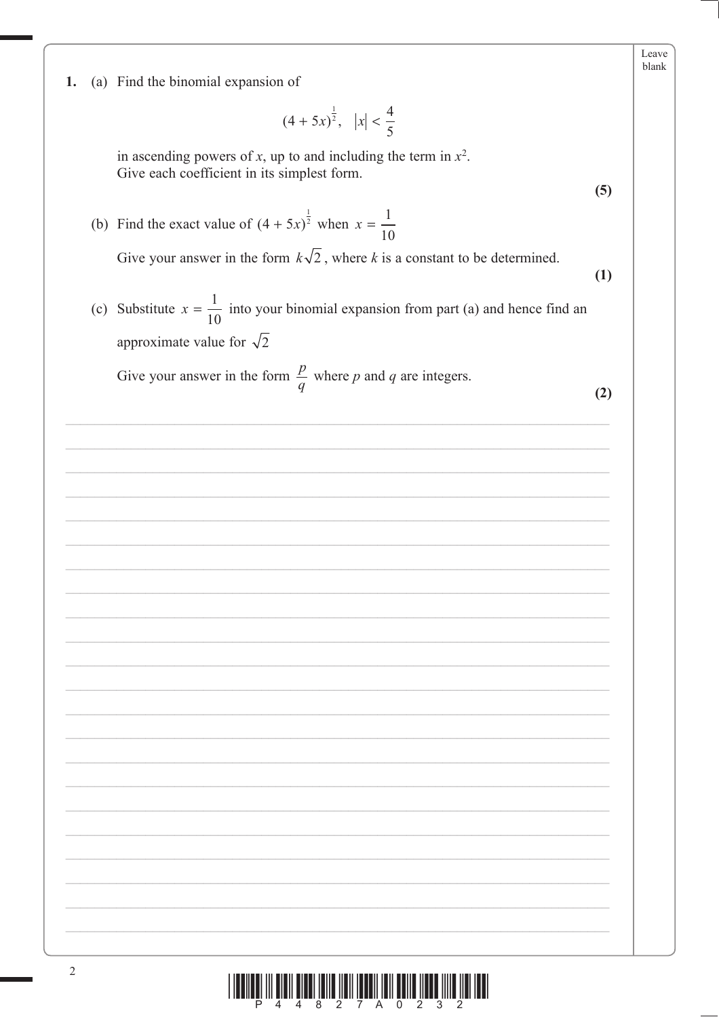1. (a) Find the binomial expansion of

$$
(4+5x)^{\frac{1}{2}}, \quad |x| < \frac{4}{5}
$$

in ascending powers of x, up to and including the term in  $x^2$ . Give each coefficient in its simplest form.

- (b) Find the exact value of  $(4 + 5x)^{\frac{1}{2}}$  when  $x = \frac{1}{10}$ Give your answer in the form  $k\sqrt{2}$ , where k is a constant to be determined.
- (c) Substitute  $x = \frac{1}{10}$  into your binomial expansion from part (a) and hence find an approximate value for  $\sqrt{2}$

Give your answer in the form  $\frac{p}{q}$  where p and q are integers.

 $(2)$ 

 $(5)$ 

 $(1)$ 

Leave blank

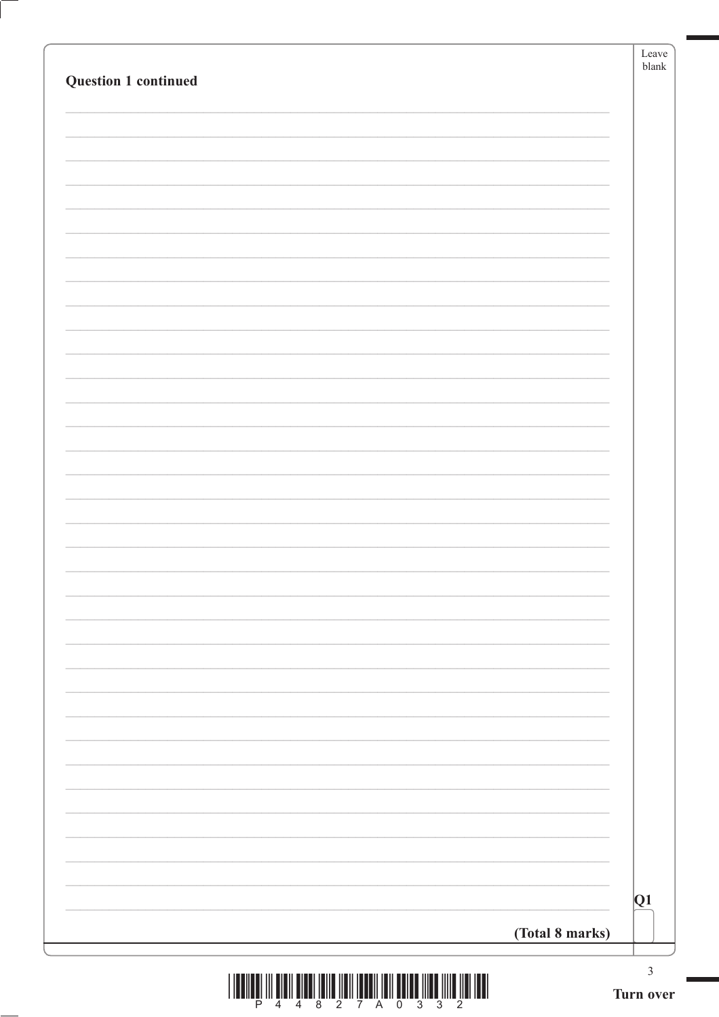|                 | Leave<br>blank |
|-----------------|----------------|
|                 |                |
|                 |                |
|                 |                |
|                 |                |
|                 |                |
|                 |                |
|                 |                |
|                 |                |
|                 |                |
|                 |                |
|                 |                |
|                 |                |
|                 |                |
|                 |                |
|                 |                |
|                 |                |
|                 |                |
|                 |                |
|                 |                |
| (Total 8 marks) | Q1             |



Ĺ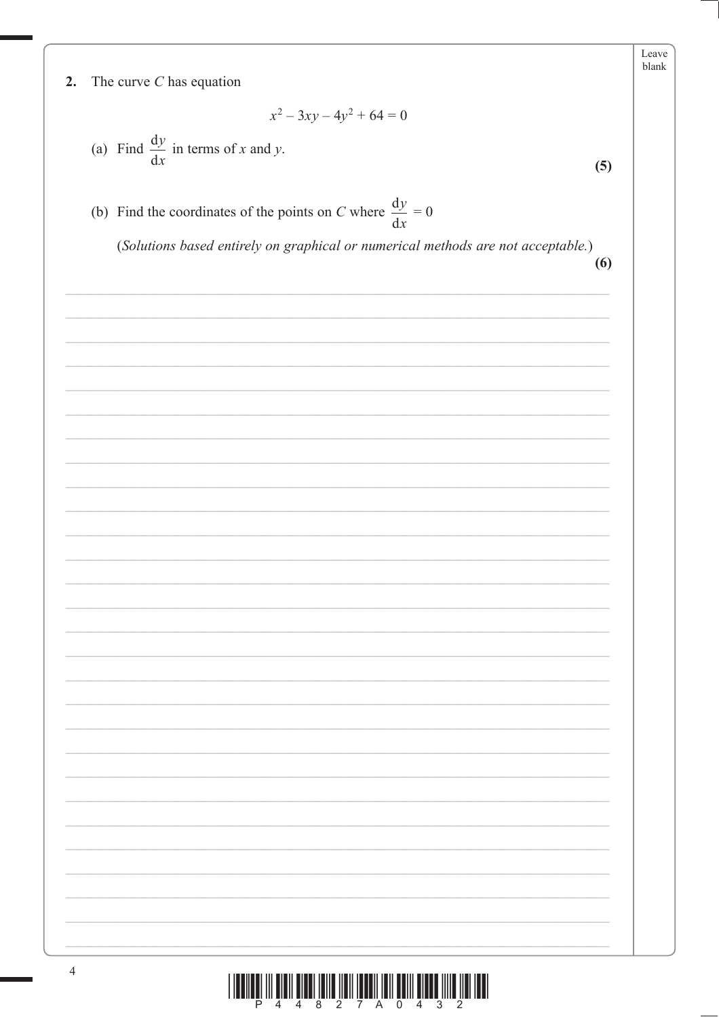$2.$ The curve  $C$  has equation

$$
x^2 - 3xy - 4y^2 + 64 = 0
$$

- (a) Find  $\frac{dy}{dx}$  in terms of x and y.
- (b) Find the coordinates of the points on C where  $\frac{dy}{dx} = 0$

(Solutions based entirely on graphical or numerical methods are not acceptable.)

 $(6)$ 

 $(5)$ 

Leave blank

| $\mathcal{L}_{\mathcal{A}}$ and $\mathcal{L}_{\mathcal{A}}$ and $\mathcal{L}_{\mathcal{A}}$ |
|---------------------------------------------------------------------------------------------|
|                                                                                             |
|                                                                                             |
| $\sim$                                                                                      |
|                                                                                             |
| $\overline{\phantom{0}}$                                                                    |
|                                                                                             |
|                                                                                             |
|                                                                                             |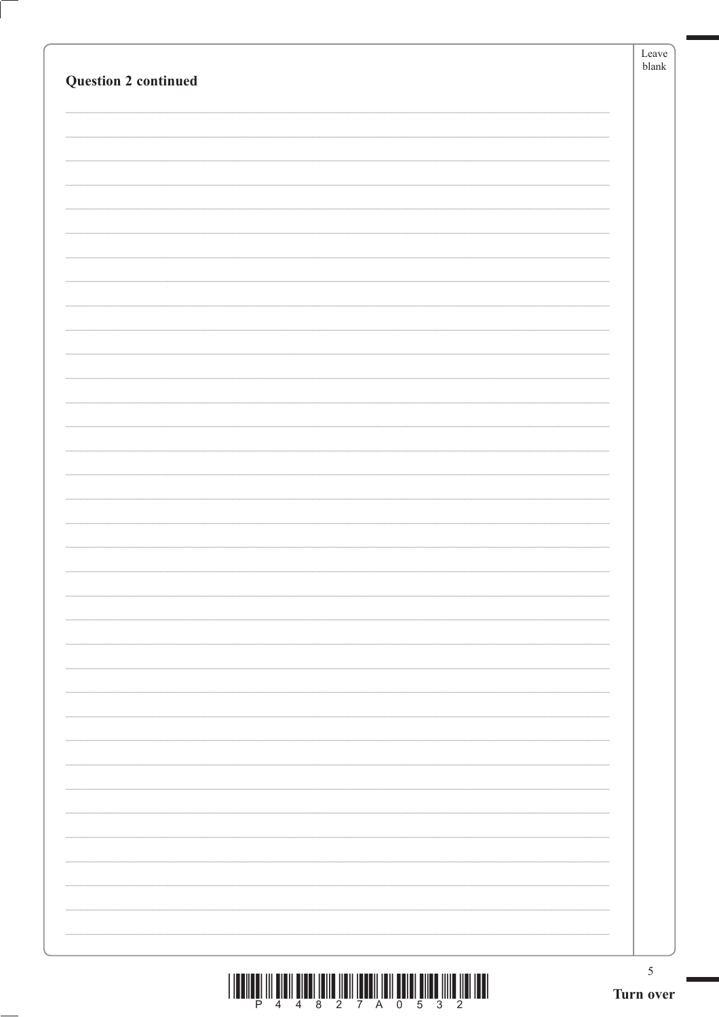| <b>Question 2 continued</b> | ${\rm Leave}$<br>$b$ lank |
|-----------------------------|---------------------------|
|                             |                           |
|                             |                           |
|                             |                           |
|                             |                           |
|                             |                           |
|                             |                           |
|                             |                           |
|                             |                           |
|                             |                           |
|                             |                           |
|                             |                           |
|                             |                           |
|                             |                           |
|                             |                           |
|                             |                           |
|                             |                           |
|                             |                           |
|                             |                           |
|                             |                           |
|                             |                           |
|                             |                           |
|                             |                           |
|                             |                           |
|                             |                           |
|                             |                           |
|                             |                           |
|                             |                           |
|                             |                           |
|                             |                           |
|                             |                           |
|                             | $\sqrt{5}$<br>Turn over   |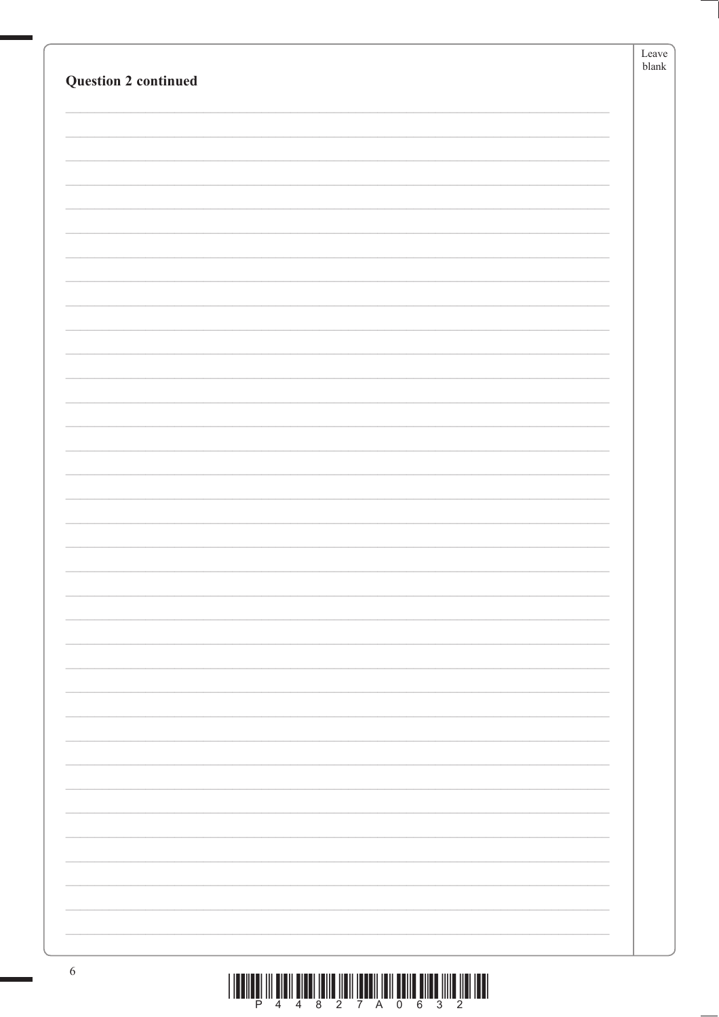| <b>Question 2 continued</b> | Leave<br>$\ensuremath{\mathit{blank}}$ |
|-----------------------------|----------------------------------------|
|                             |                                        |
|                             |                                        |
|                             |                                        |
|                             |                                        |
|                             |                                        |
|                             |                                        |
|                             |                                        |
|                             |                                        |
|                             |                                        |
|                             |                                        |
|                             |                                        |
|                             |                                        |
|                             |                                        |
|                             |                                        |
|                             |                                        |
|                             |                                        |
|                             |                                        |
|                             |                                        |
|                             |                                        |
|                             |                                        |
|                             |                                        |
|                             |                                        |
|                             |                                        |
|                             |                                        |
|                             |                                        |
|                             |                                        |
|                             |                                        |
|                             |                                        |

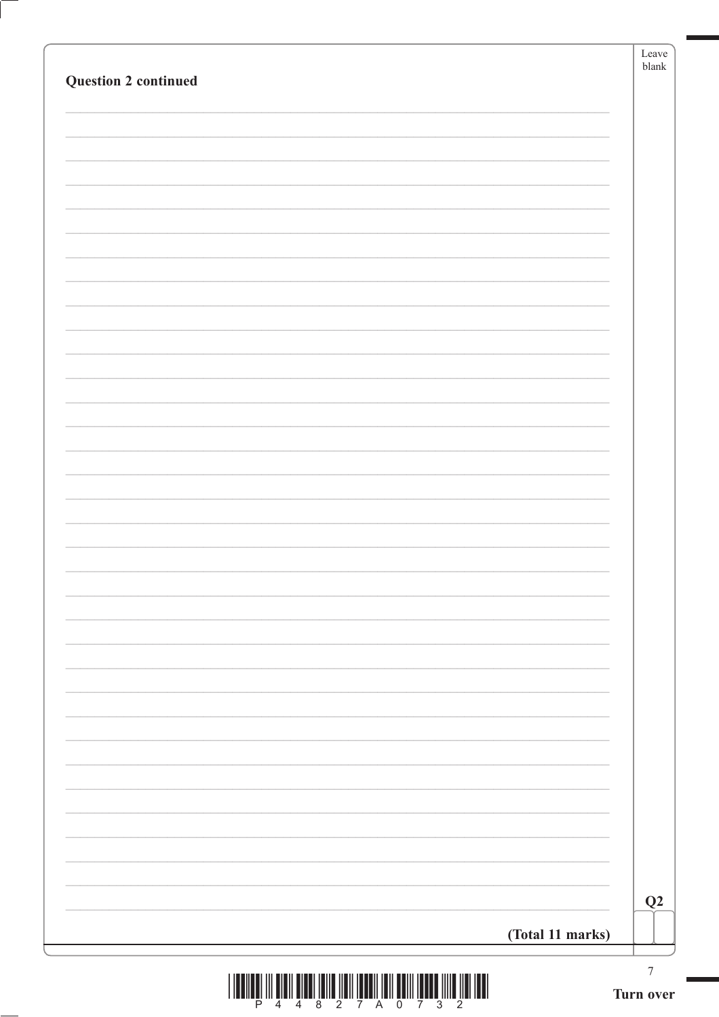| (Total 11 marks) | $\boldsymbol{7}$ |
|------------------|------------------|
|                  | Q2               |
|                  |                  |
|                  |                  |
|                  |                  |
|                  |                  |
|                  |                  |
|                  |                  |
|                  |                  |
|                  |                  |
|                  |                  |
|                  |                  |
|                  |                  |
|                  |                  |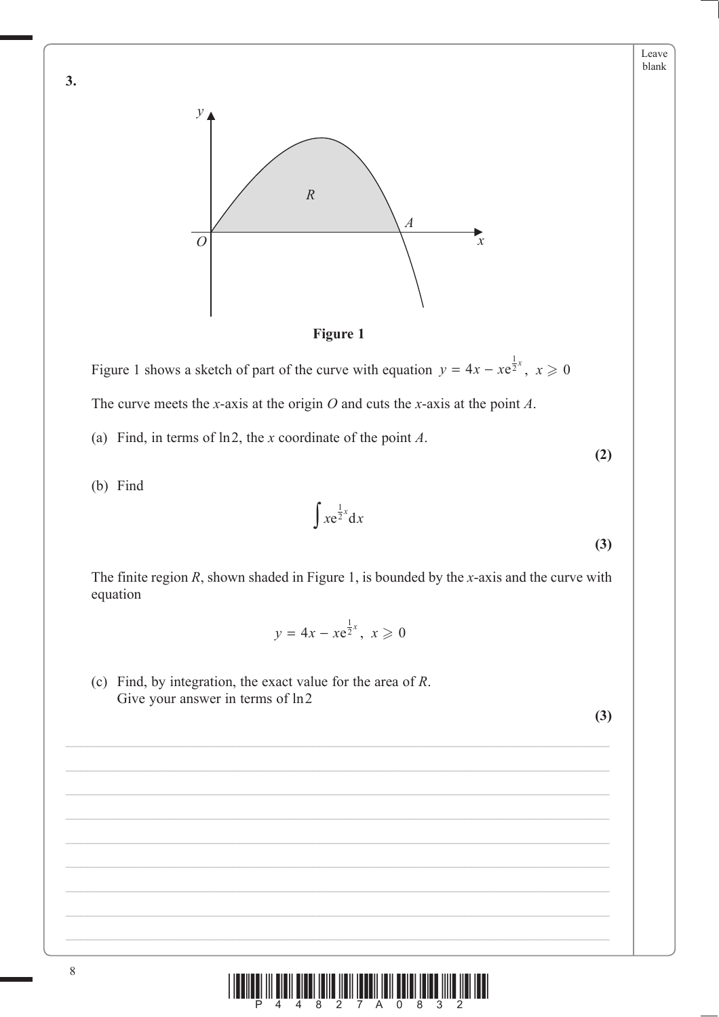



Figure 1 shows a sketch of part of the curve with equation  $y = 4x - xe^{\frac{1}{2}x}$ ,  $x \ge 0$ 

The curve meets the *x*-axis at the origin *O* and cuts the *x*-axis at the point *A*.

(a) Find, in terms of ln2, the *x* coordinate of the point *A*.

(b) Find

**3.**

 $\int xe^{\frac{1}{2}x} dx$ **(3)**

The finite region *R*, shown shaded in Figure 1, is bounded by the *x*-axis and the curve with equation

$$
y = 4x - xe^{\frac{1}{2}x}, \ x \geqslant 0
$$

 $\mathcal{L}_\mathcal{L} = \mathcal{L}_\mathcal{L} = \mathcal{L}_\mathcal{L} = \mathcal{L}_\mathcal{L} = \mathcal{L}_\mathcal{L} = \mathcal{L}_\mathcal{L} = \mathcal{L}_\mathcal{L} = \mathcal{L}_\mathcal{L} = \mathcal{L}_\mathcal{L} = \mathcal{L}_\mathcal{L} = \mathcal{L}_\mathcal{L} = \mathcal{L}_\mathcal{L} = \mathcal{L}_\mathcal{L} = \mathcal{L}_\mathcal{L} = \mathcal{L}_\mathcal{L} = \mathcal{L}_\mathcal{L} = \mathcal{L}_\mathcal{L}$ 

 (c) Find, by integration, the exact value for the area of *R*. Give your answer in terms of ln2

**(3)**

**(2)**

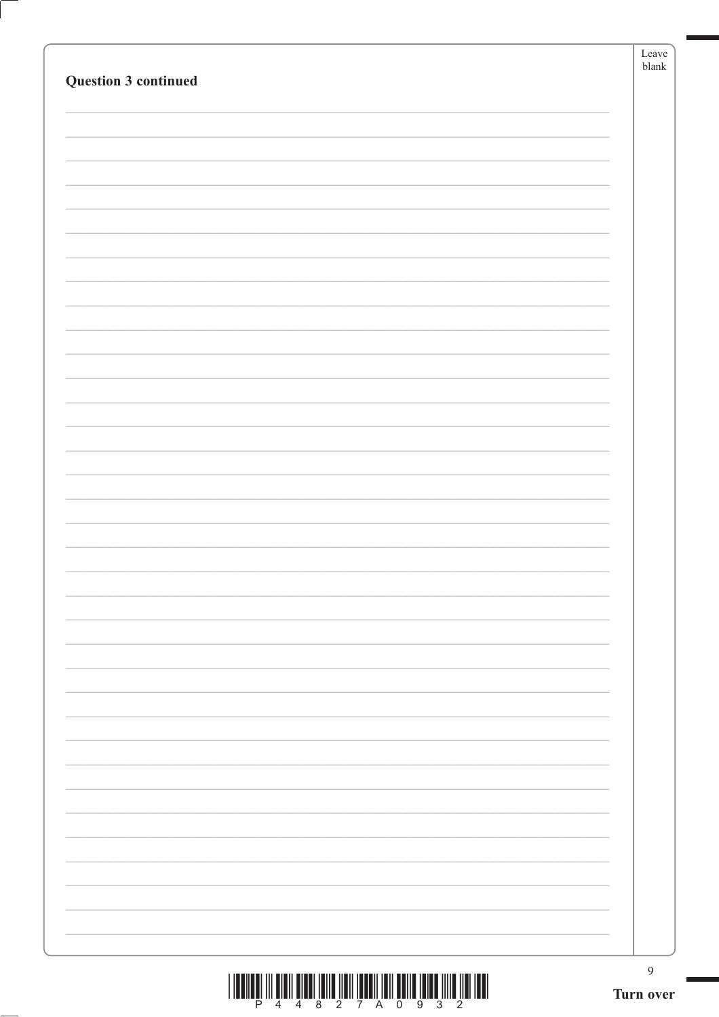| Question 3 continued | Leave<br>$b$ lank           |
|----------------------|-----------------------------|
|                      |                             |
|                      |                             |
|                      |                             |
|                      |                             |
|                      |                             |
|                      |                             |
|                      |                             |
|                      |                             |
|                      |                             |
|                      |                             |
|                      |                             |
|                      |                             |
|                      |                             |
|                      |                             |
|                      |                             |
|                      |                             |
|                      |                             |
|                      |                             |
|                      |                             |
|                      |                             |
|                      |                             |
|                      |                             |
|                      |                             |
|                      |                             |
|                      |                             |
|                      |                             |
|                      |                             |
|                      |                             |
|                      |                             |
|                      |                             |
|                      |                             |
|                      | $\overline{9}$<br>Turn over |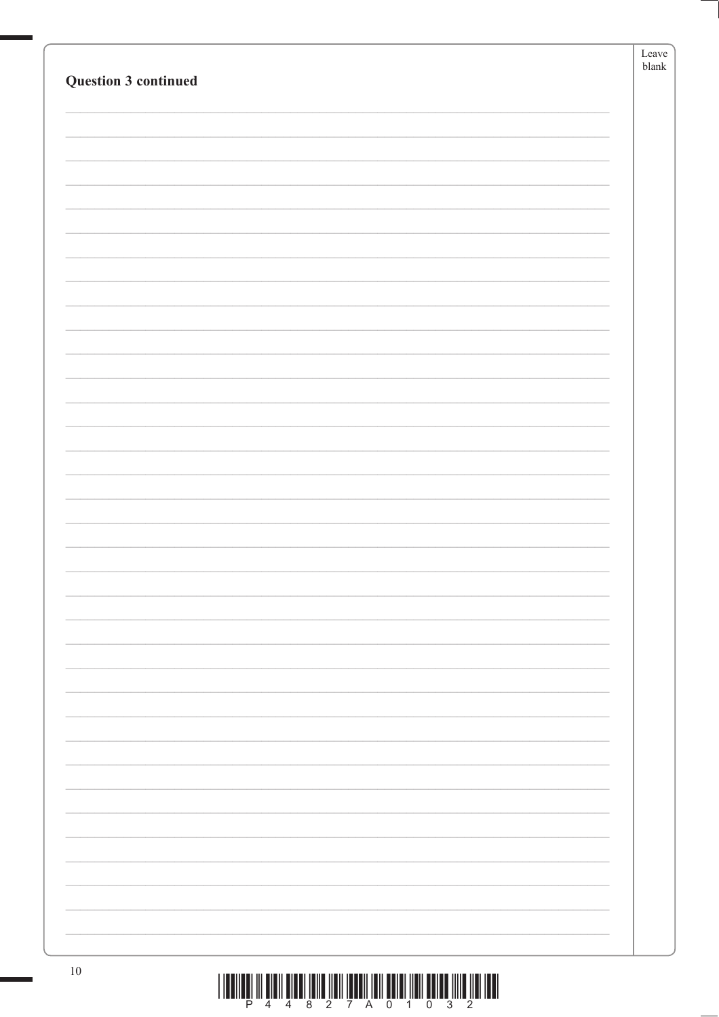|                                                                                                    | Leave<br>blank |
|----------------------------------------------------------------------------------------------------|----------------|
| <b>Question 3 continued</b>                                                                        |                |
|                                                                                                    |                |
|                                                                                                    |                |
|                                                                                                    |                |
|                                                                                                    |                |
|                                                                                                    |                |
|                                                                                                    |                |
|                                                                                                    |                |
|                                                                                                    |                |
|                                                                                                    |                |
|                                                                                                    |                |
|                                                                                                    |                |
|                                                                                                    |                |
|                                                                                                    |                |
|                                                                                                    |                |
|                                                                                                    |                |
|                                                                                                    |                |
|                                                                                                    |                |
|                                                                                                    |                |
|                                                                                                    |                |
|                                                                                                    |                |
|                                                                                                    |                |
|                                                                                                    |                |
|                                                                                                    |                |
|                                                                                                    |                |
|                                                                                                    |                |
|                                                                                                    |                |
|                                                                                                    |                |
|                                                                                                    |                |
|                                                                                                    |                |
|                                                                                                    |                |
|                                                                                                    |                |
|                                                                                                    |                |
|                                                                                                    |                |
|                                                                                                    |                |
|                                                                                                    |                |
| $10\,$<br><u>I LA ALLAN ITI ALATI ALAH TARIK ILAH TANAH TARI ANLAH TIAH ANTAR TITIR ILAH TAAL.</u> |                |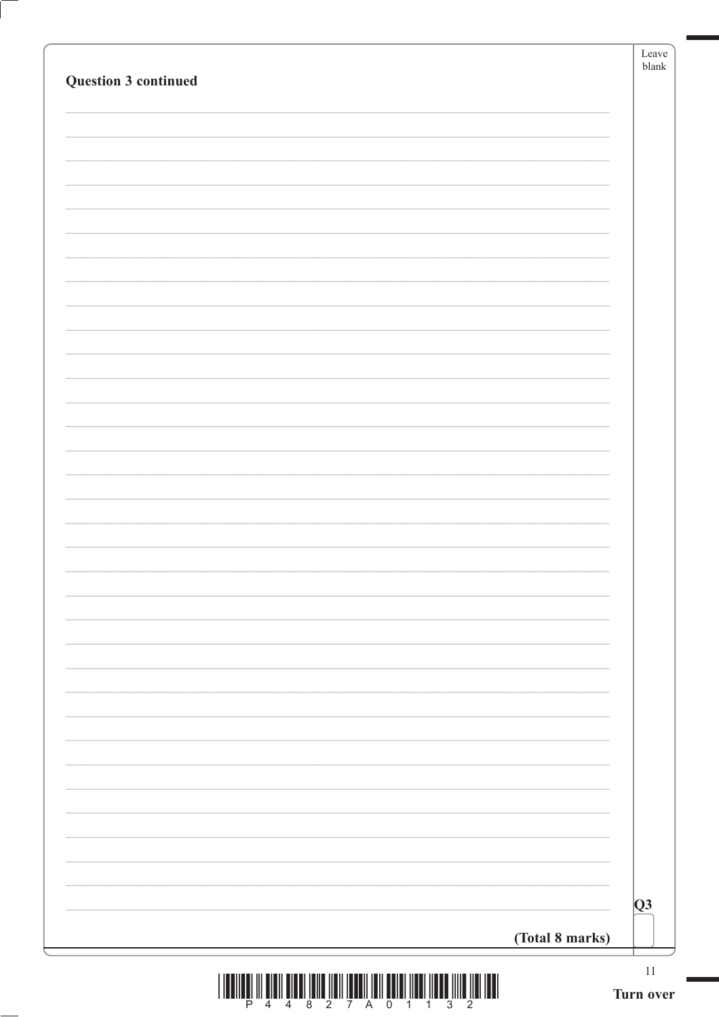| Question 3 continued | Leave<br>blank            |
|----------------------|---------------------------|
|                      |                           |
|                      |                           |
|                      |                           |
|                      |                           |
|                      |                           |
|                      |                           |
|                      |                           |
|                      |                           |
|                      |                           |
|                      |                           |
|                      |                           |
|                      |                           |
|                      |                           |
|                      |                           |
|                      |                           |
|                      |                           |
|                      |                           |
|                      |                           |
|                      | $\overline{Q}$            |
|                      | (Total 8 marks)<br>$11\,$ |

 $\frac{1}{2}\left[\frac{1}{2}\left[\frac{1}{2}\left[\frac{1}{2}\left[\frac{1}{2}\left[\frac{1}{2}\left[\frac{1}{2}\left[\frac{1}{2}\left[\frac{1}{2}\left[\frac{1}{2}\left[\frac{1}{2}\left[\frac{1}{2}\left[\frac{1}{2}\left[\frac{1}{2}\left[\frac{1}{2}\left[\frac{1}{2}\left[\frac{1}{2}\left[\frac{1}{2}\left[\frac{1}{2}\left[\frac{1}{2}\left[\frac{1}{2}\left[\frac{1}{2}\left[\frac{1}{2}\left[\frac{1}{2}\left[\frac{1}{2}\left[\frac{1}{2}\left[\frac{1}{2}\left[\frac{1$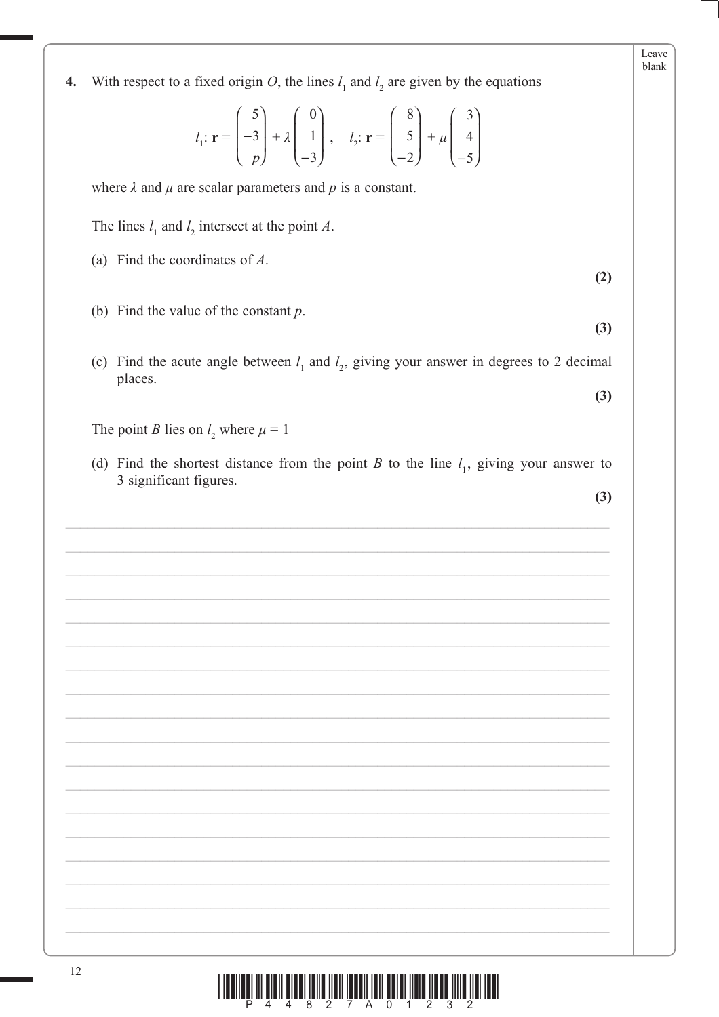| With respect to a fixed origin O, the lines $l_1$ and $l_2$ are given by the equations<br>4.                                                                                                                                             |     |
|------------------------------------------------------------------------------------------------------------------------------------------------------------------------------------------------------------------------------------------|-----|
| $l_1: \mathbf{r} = \begin{pmatrix} 5 \\ -3 \\ p \end{pmatrix} + \lambda \begin{pmatrix} 0 \\ 1 \\ -3 \end{pmatrix}, \quad l_2: \mathbf{r} = \begin{pmatrix} 8 \\ 5 \\ -2 \end{pmatrix} + \mu \begin{pmatrix} 3 \\ 4 \\ -5 \end{pmatrix}$ |     |
| where $\lambda$ and $\mu$ are scalar parameters and p is a constant.                                                                                                                                                                     |     |
| The lines $l_1$ and $l_2$ intersect at the point A.                                                                                                                                                                                      |     |
| (a) Find the coordinates of $A$ .                                                                                                                                                                                                        | (2) |
| (b) Find the value of the constant $p$ .                                                                                                                                                                                                 | (3) |
| Find the acute angle between $l_1$ and $l_2$ , giving your answer in degrees to 2 decimal<br>(c)                                                                                                                                         |     |
| places.                                                                                                                                                                                                                                  | (3) |
| The point <i>B</i> lies on $l_2$ where $\mu = 1$                                                                                                                                                                                         |     |
| (d) Find the shortest distance from the point B to the line $l_1$ , giving your answer to<br>3 significant figures.                                                                                                                      |     |
|                                                                                                                                                                                                                                          | (3) |
|                                                                                                                                                                                                                                          |     |
|                                                                                                                                                                                                                                          |     |
|                                                                                                                                                                                                                                          |     |
|                                                                                                                                                                                                                                          |     |
|                                                                                                                                                                                                                                          |     |
|                                                                                                                                                                                                                                          |     |
|                                                                                                                                                                                                                                          |     |
|                                                                                                                                                                                                                                          |     |
|                                                                                                                                                                                                                                          |     |
|                                                                                                                                                                                                                                          |     |
|                                                                                                                                                                                                                                          |     |
|                                                                                                                                                                                                                                          |     |
|                                                                                                                                                                                                                                          |     |
|                                                                                                                                                                                                                                          |     |
|                                                                                                                                                                                                                                          |     |
|                                                                                                                                                                                                                                          |     |
| 12                                                                                                                                                                                                                                       |     |

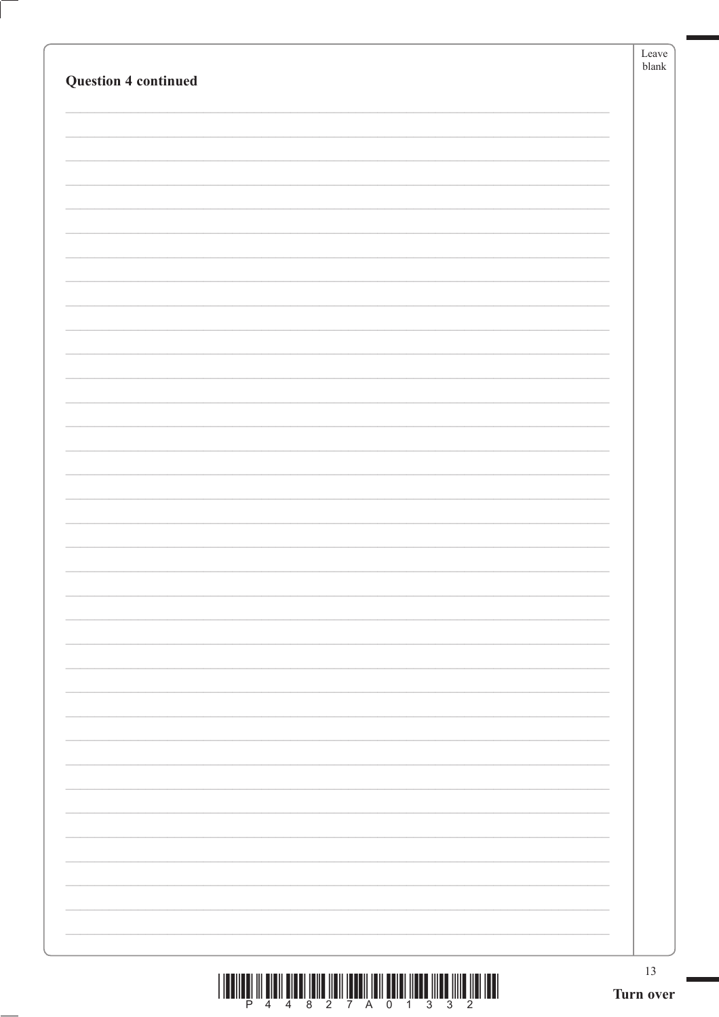|                             | Leave<br>$b$ lank |
|-----------------------------|-------------------|
| <b>Question 4 continued</b> |                   |
|                             |                   |
|                             |                   |
|                             |                   |
|                             |                   |
|                             |                   |
|                             |                   |
|                             |                   |
|                             |                   |
|                             |                   |
|                             |                   |
|                             |                   |
|                             |                   |
|                             |                   |
|                             |                   |
|                             |                   |
|                             |                   |
|                             |                   |
|                             |                   |
|                             |                   |
|                             |                   |
|                             |                   |
|                             |                   |
|                             |                   |
|                             |                   |
|                             |                   |
|                             |                   |
|                             |                   |
|                             |                   |
|                             |                   |
|                             |                   |
|                             |                   |
|                             |                   |
|                             |                   |
|                             | 13                |
|                             | Turn over         |

 $\left( \right)$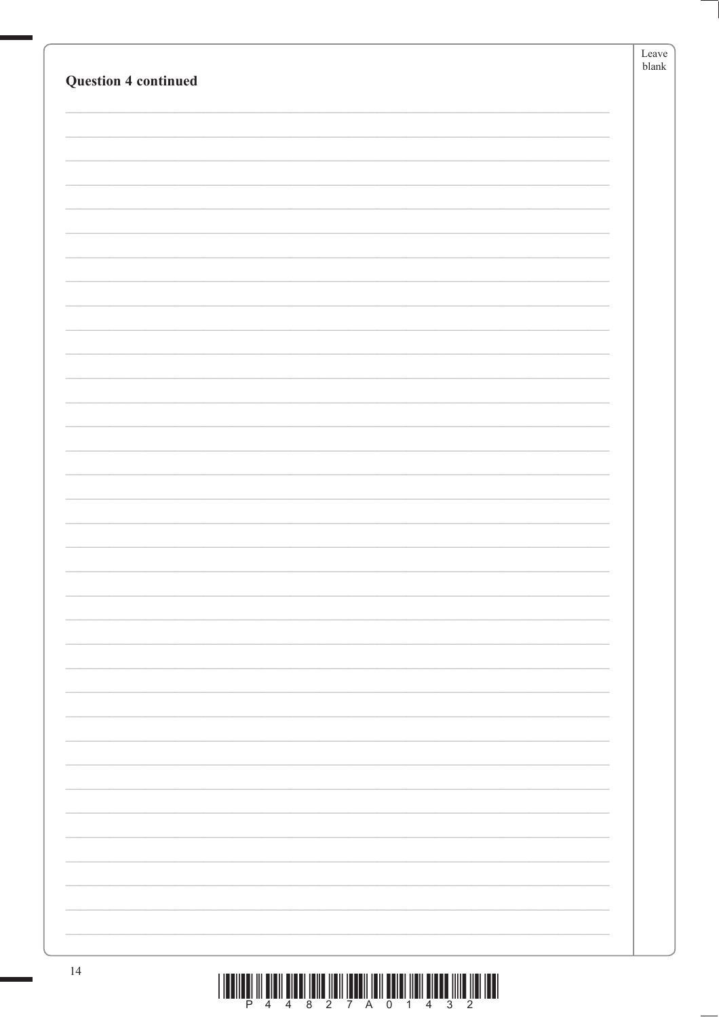|                             | Leave<br>blank |
|-----------------------------|----------------|
| <b>Question 4 continued</b> |                |
|                             |                |
|                             |                |
|                             |                |
|                             |                |
|                             |                |
|                             |                |
|                             |                |
|                             |                |
|                             |                |
|                             |                |
|                             |                |
|                             |                |
|                             |                |
|                             |                |
|                             |                |
|                             |                |
|                             |                |
|                             |                |
|                             |                |
|                             |                |
|                             |                |
|                             |                |
|                             |                |
|                             |                |
|                             |                |
|                             |                |
|                             |                |
|                             |                |
|                             |                |
|                             |                |
|                             |                |
|                             |                |
|                             |                |
|                             |                |
|                             |                |
| 14                          |                |

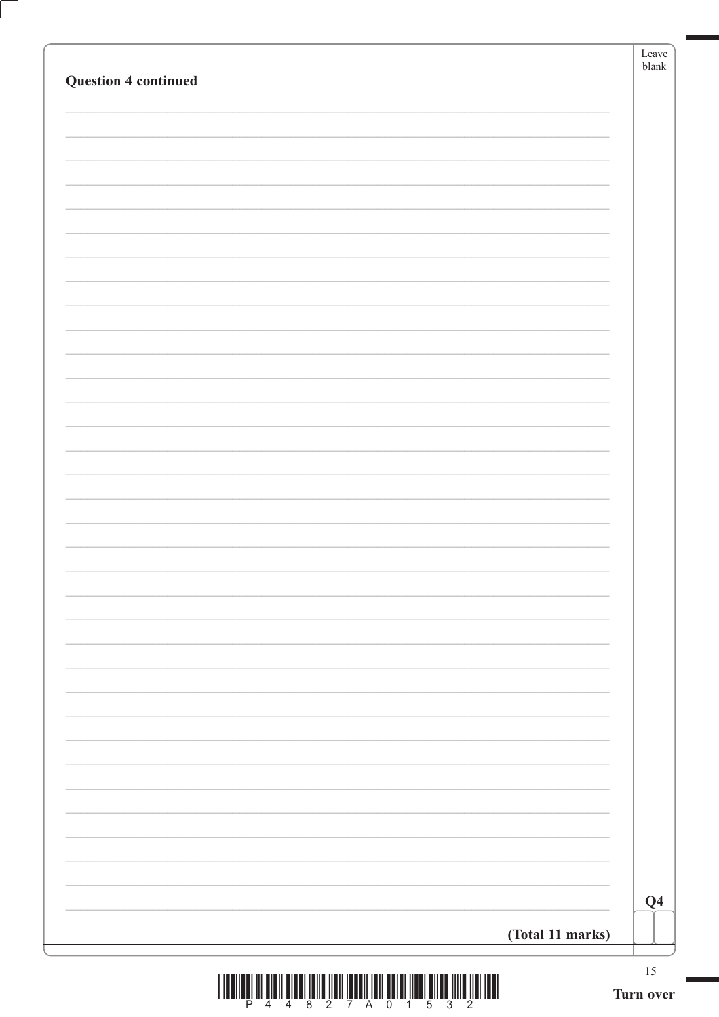| <b>Question 4 continued</b>                                                             |                  | Leave<br>blank |
|-----------------------------------------------------------------------------------------|------------------|----------------|
|                                                                                         |                  |                |
|                                                                                         |                  |                |
|                                                                                         |                  |                |
|                                                                                         |                  |                |
|                                                                                         |                  |                |
|                                                                                         |                  |                |
|                                                                                         |                  |                |
|                                                                                         |                  |                |
|                                                                                         |                  |                |
|                                                                                         |                  |                |
|                                                                                         |                  |                |
|                                                                                         |                  |                |
|                                                                                         |                  |                |
|                                                                                         |                  |                |
|                                                                                         |                  |                |
|                                                                                         |                  |                |
|                                                                                         |                  |                |
|                                                                                         |                  |                |
|                                                                                         |                  |                |
|                                                                                         |                  |                |
|                                                                                         |                  |                |
|                                                                                         |                  |                |
|                                                                                         |                  |                |
|                                                                                         |                  |                |
|                                                                                         |                  | Q <sub>4</sub> |
|                                                                                         | (Total 11 marks) |                |
| <u>וה של זמנו מוזון מתחום ומשון ומוסף ווסן ווספטו ווסון מוזון ומתחום ומוסף ומוסף וו</u> |                  | $15\,$         |



Ĺ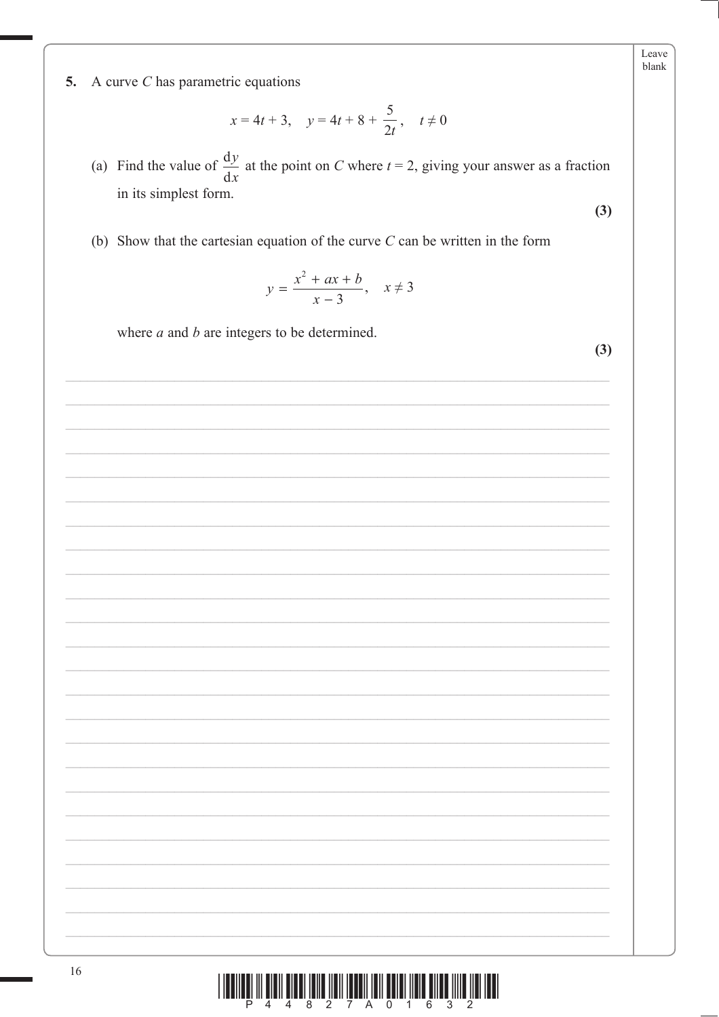5. A curve  $C$  has parametric equations

$$
x = 4t + 3
$$
,  $y = 4t + 8 + \frac{5}{2t}$ ,  $t \neq 0$ 

(a) Find the value of  $\frac{dy}{dx}$  at the point on C where  $t = 2$ , giving your answer as a fraction in its simplest form.

(b) Show that the cartesian equation of the curve  $C$  can be written in the form

$$
y = \frac{x^2 + ax + b}{x - 3}, \quad x \neq 3
$$

where  $a$  and  $b$  are integers to be determined.

Leave blank

 $(3)$ 

 $(3)$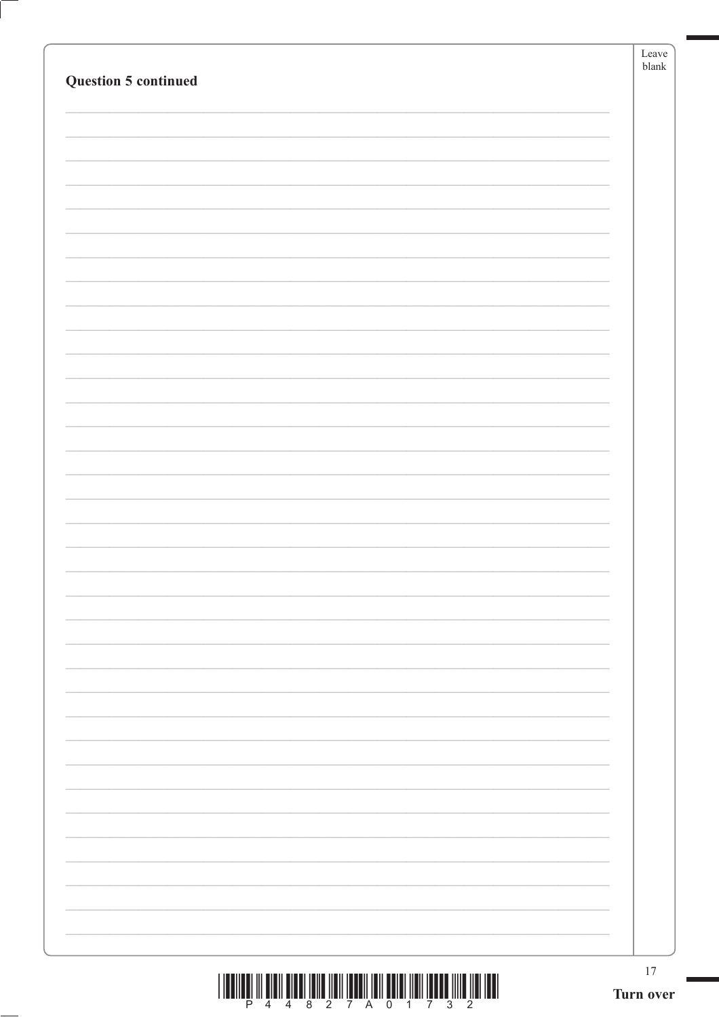|                             | Leave<br>$b$ lank |
|-----------------------------|-------------------|
| <b>Question 5 continued</b> |                   |
|                             |                   |
|                             |                   |
|                             |                   |
|                             |                   |
|                             |                   |
|                             |                   |
|                             |                   |
|                             |                   |
|                             |                   |
|                             |                   |
|                             |                   |
|                             |                   |
|                             |                   |
|                             |                   |
|                             |                   |
|                             |                   |
|                             |                   |
|                             |                   |
|                             |                   |
|                             |                   |
|                             |                   |
|                             |                   |
|                             |                   |
|                             |                   |
|                             |                   |
|                             |                   |
|                             |                   |
|                             |                   |
|                             |                   |
|                             |                   |
|                             | 17                |
|                             | Turn over         |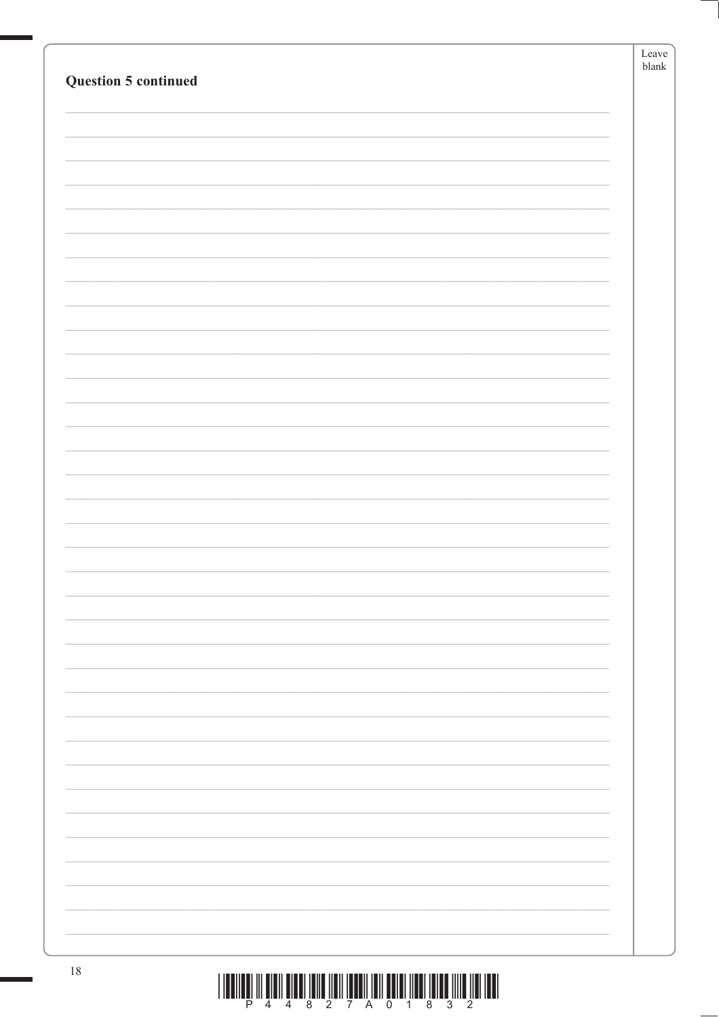|                             | Leave |
|-----------------------------|-------|
| <b>Question 5 continued</b> | blank |
|                             |       |
|                             |       |
|                             |       |
|                             |       |
|                             |       |
|                             |       |
|                             |       |
|                             |       |
|                             |       |
|                             |       |
|                             |       |
|                             |       |
|                             |       |
|                             |       |
|                             |       |
|                             |       |
|                             |       |
|                             |       |
|                             |       |
|                             |       |
|                             |       |
|                             |       |
|                             |       |
|                             |       |
|                             |       |
|                             |       |
|                             |       |
|                             |       |
|                             |       |
|                             |       |
|                             |       |
|                             |       |
|                             |       |
|                             |       |
|                             |       |
|                             |       |
|                             |       |
|                             |       |
|                             |       |
|                             |       |
|                             |       |
|                             |       |
|                             |       |
|                             |       |
| $18\,$                      |       |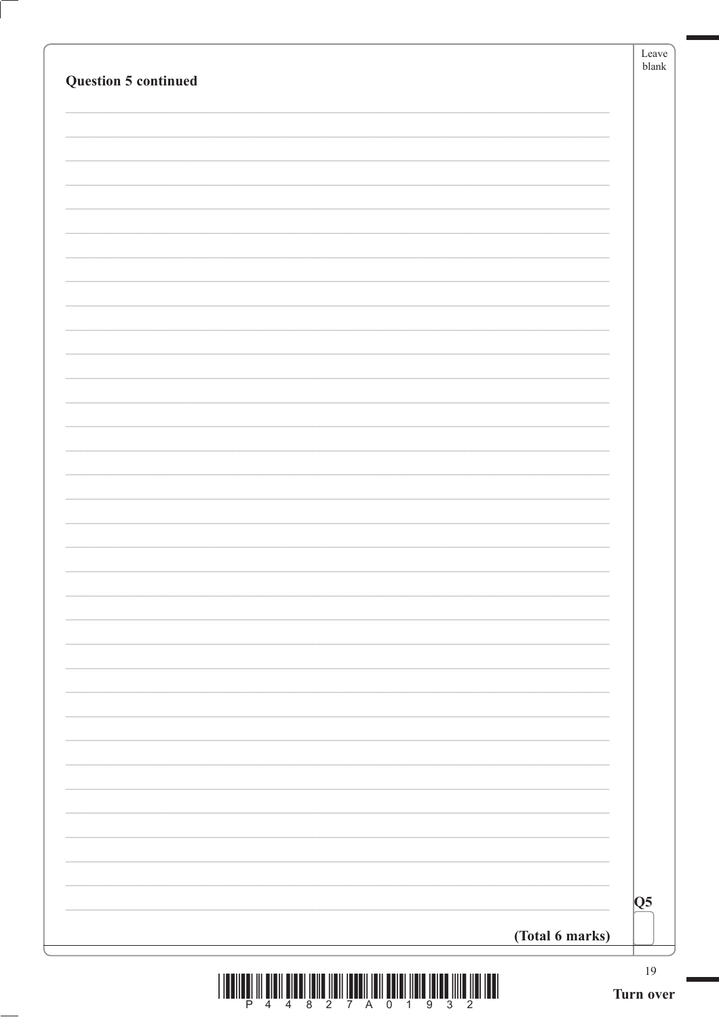| <b>Question 5 continued</b> |                 |    |
|-----------------------------|-----------------|----|
|                             |                 |    |
|                             |                 |    |
|                             |                 |    |
|                             |                 |    |
|                             |                 |    |
|                             |                 |    |
|                             |                 |    |
|                             |                 |    |
|                             |                 |    |
|                             |                 |    |
|                             |                 |    |
|                             |                 |    |
|                             |                 |    |
|                             |                 |    |
|                             |                 |    |
|                             |                 |    |
|                             |                 |    |
|                             |                 |    |
|                             |                 |    |
|                             |                 |    |
|                             |                 |    |
|                             |                 |    |
|                             |                 |    |
|                             |                 |    |
|                             |                 |    |
|                             |                 | Q5 |
|                             | (Total 6 marks) |    |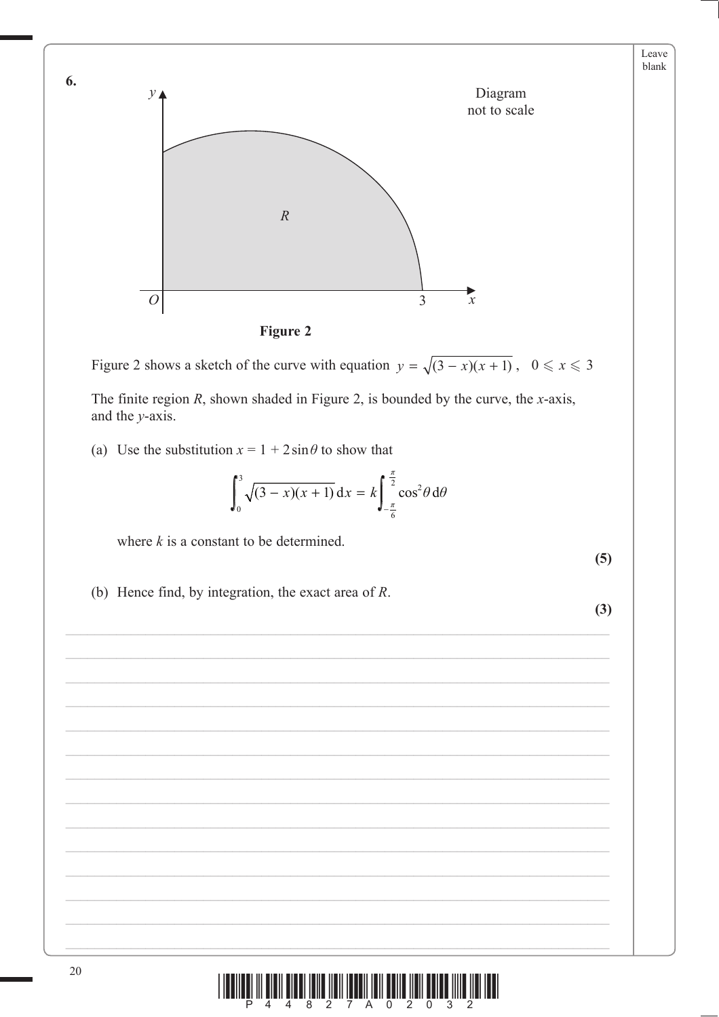

Figure 2 shows a sketch of the curve with equation  $y = \sqrt{(3-x)(x+1)}$ ,  $0 \le x \le 3$ 

The finite region  $R$ , shown shaded in Figure 2, is bounded by the curve, the  $x$ -axis, and the  $v$ -axis.

(a) Use the substitution  $x = 1 + 2\sin\theta$  to show that

$$
\int_0^3 \sqrt{(3-x)(x+1)} \, dx = k \int_{-\frac{\pi}{6}}^{\frac{\pi}{2}} \cos^2 \theta \, d\theta
$$

where  $k$  is a constant to be determined.

 $(5)$ 

(b) Hence find, by integration, the exact area of  $R$ .

 $(3)$ 



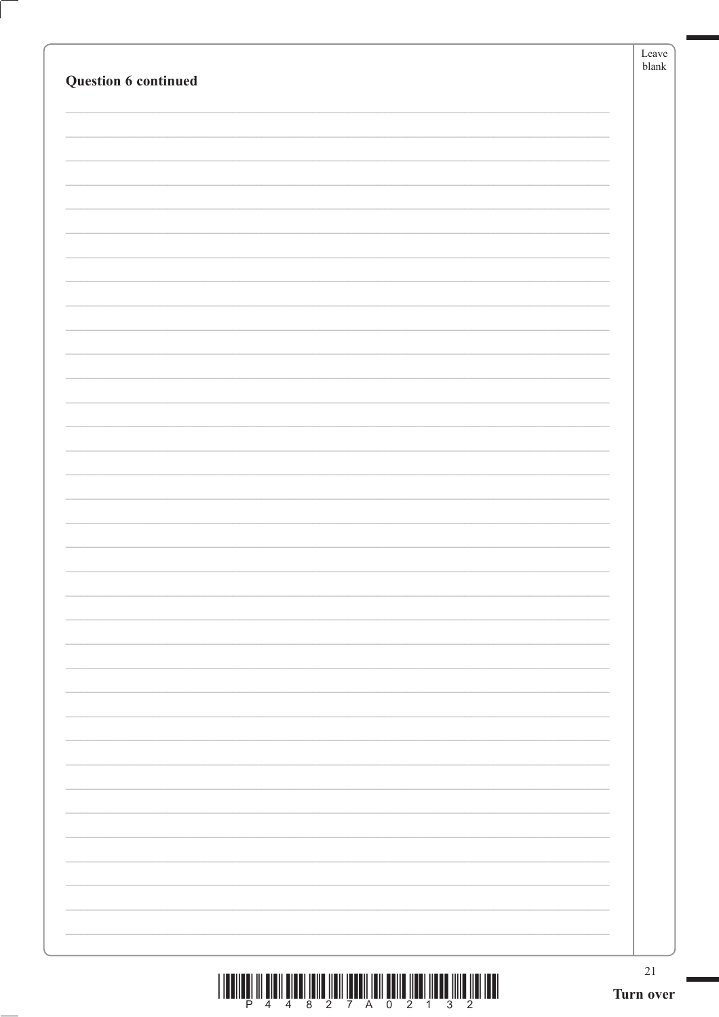|                      | Leave<br>$b$ lank |
|----------------------|-------------------|
| Question 6 continued |                   |
|                      |                   |
|                      |                   |
|                      |                   |
|                      |                   |
|                      |                   |
|                      |                   |
|                      |                   |
|                      |                   |
|                      |                   |
|                      |                   |
|                      |                   |
|                      |                   |
|                      |                   |
|                      |                   |
|                      |                   |
|                      |                   |
|                      |                   |
|                      |                   |
|                      |                   |
|                      |                   |
|                      |                   |
|                      |                   |
|                      |                   |
|                      |                   |
|                      |                   |
|                      |                   |
|                      |                   |
|                      |                   |
|                      |                   |
|                      |                   |
|                      |                   |
|                      |                   |
|                      |                   |
|                      |                   |
|                      |                   |
|                      |                   |
|                      | $21\,$            |
|                      | Turn over         |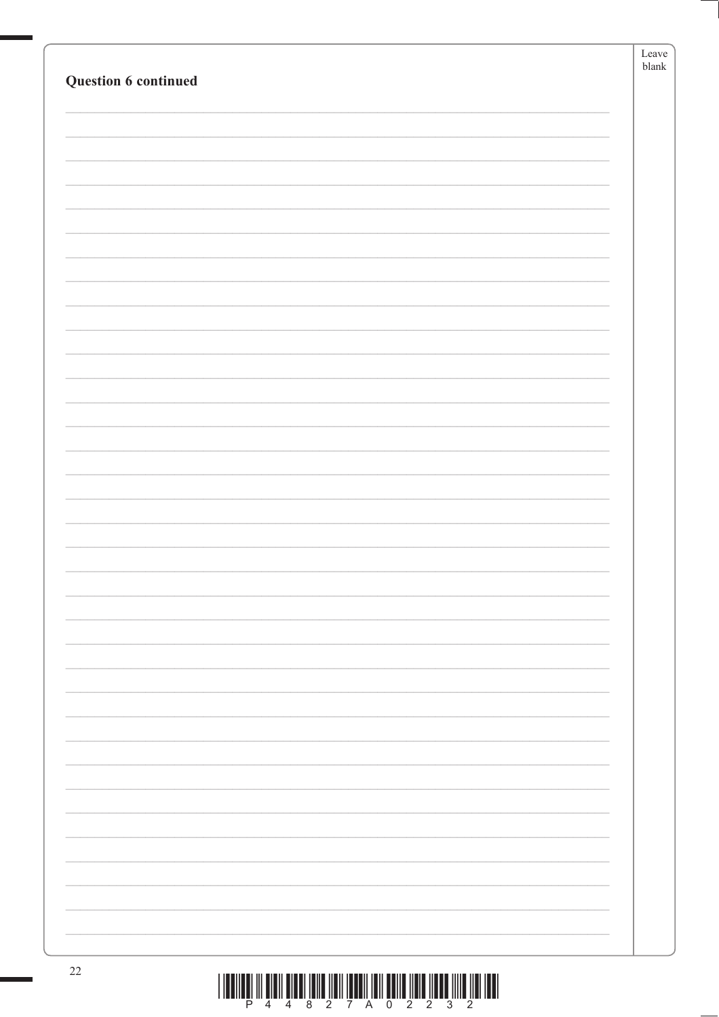|                      | Leave<br>$\ensuremath{\textrm{blank}}$ |
|----------------------|----------------------------------------|
| Question 6 continued |                                        |
|                      |                                        |
|                      |                                        |
|                      |                                        |
|                      |                                        |
|                      |                                        |
|                      |                                        |
|                      |                                        |
|                      |                                        |
|                      |                                        |
|                      |                                        |
|                      |                                        |
|                      |                                        |
|                      |                                        |
|                      |                                        |
|                      |                                        |
|                      |                                        |
|                      |                                        |
|                      |                                        |
|                      |                                        |
|                      |                                        |
|                      |                                        |
|                      |                                        |
|                      |                                        |
|                      |                                        |
|                      |                                        |
|                      |                                        |
|                      |                                        |
|                      |                                        |
|                      |                                        |
|                      |                                        |
|                      |                                        |
|                      |                                        |
|                      |                                        |
|                      |                                        |
|                      |                                        |
|                      |                                        |
| $22\,$               |                                        |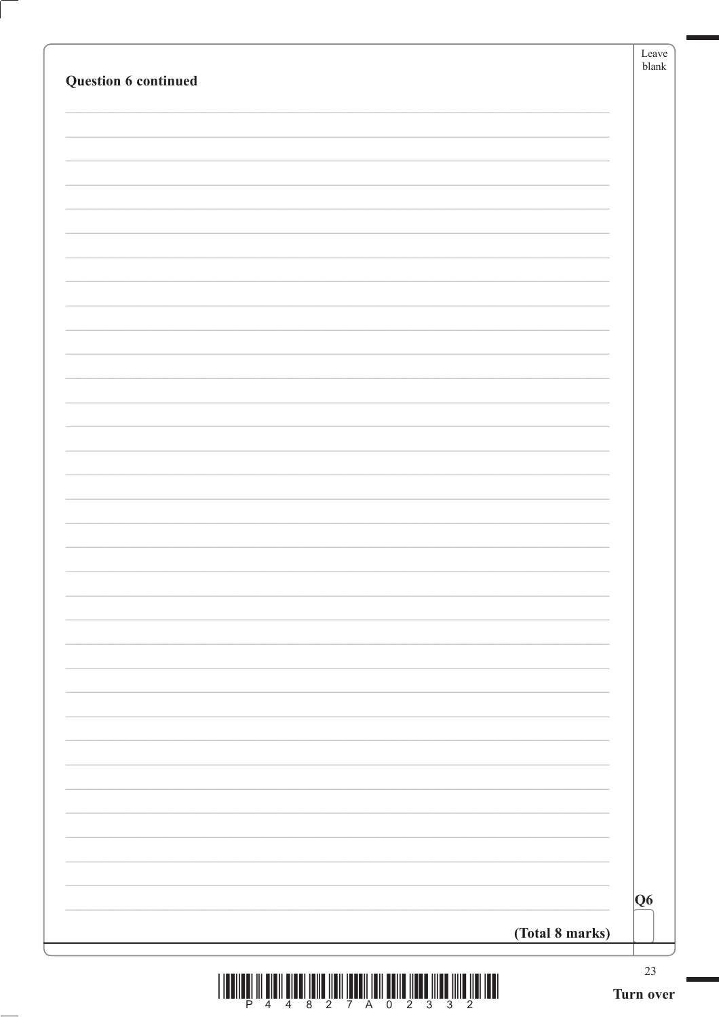| Question 6 continued | Leave<br>$\ensuremath{\textrm{blank}}$ |
|----------------------|----------------------------------------|
|                      |                                        |
|                      |                                        |
|                      |                                        |
|                      |                                        |
|                      |                                        |
|                      |                                        |
|                      |                                        |
|                      |                                        |
|                      |                                        |
|                      |                                        |
|                      |                                        |
|                      |                                        |
|                      |                                        |
|                      |                                        |
|                      |                                        |
|                      |                                        |
| (Total 8 marks)      | Q6                                     |
|                      | 23                                     |



ſ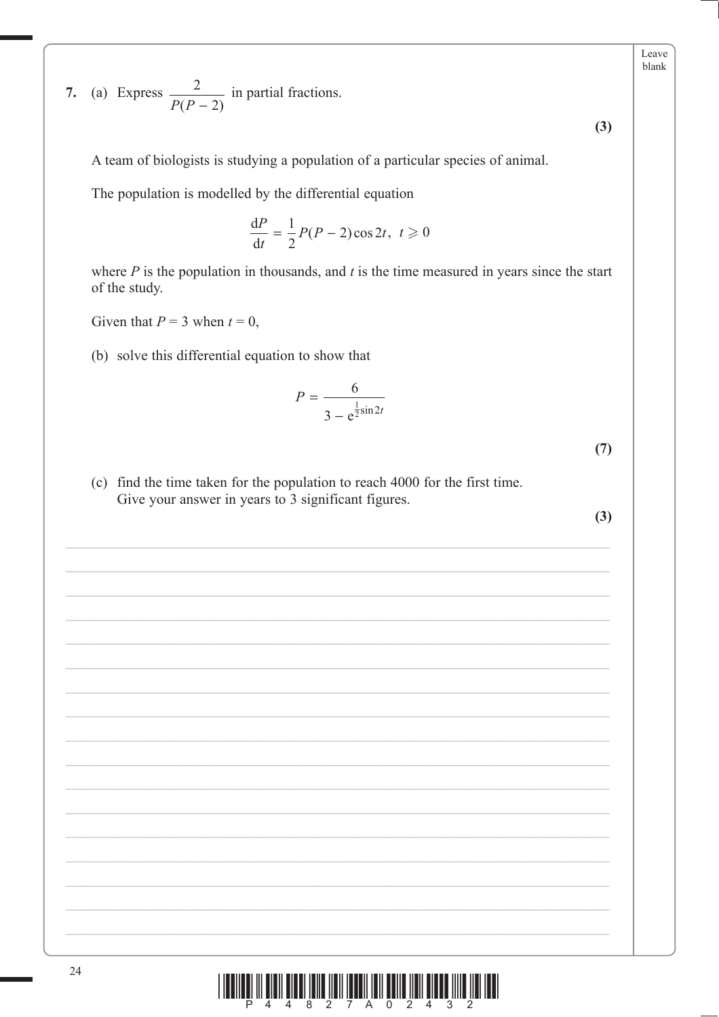7. (a) Express  $\frac{2}{P(P-2)}$  in partial fractions.

A team of biologists is studying a population of a particular species of animal.

The population is modelled by the differential equation

$$
\frac{\mathrm{d}P}{\mathrm{d}t} = \frac{1}{2}P(P-2)\cos 2t, \ t \geq 0
$$

where  $P$  is the population in thousands, and  $t$  is the time measured in years since the start of the study.

Given that  $P = 3$  when  $t = 0$ ,

(b) solve this differential equation to show that

$$
P = \frac{6}{3 - e^{\frac{1}{2}\sin 2t}}
$$

 $(7)$ 

 $(3)$ 

Leave blank

(c) find the time taken for the population to reach 4000 for the first time. Give your answer in years to 3 significant figures.

 $(3)$ 

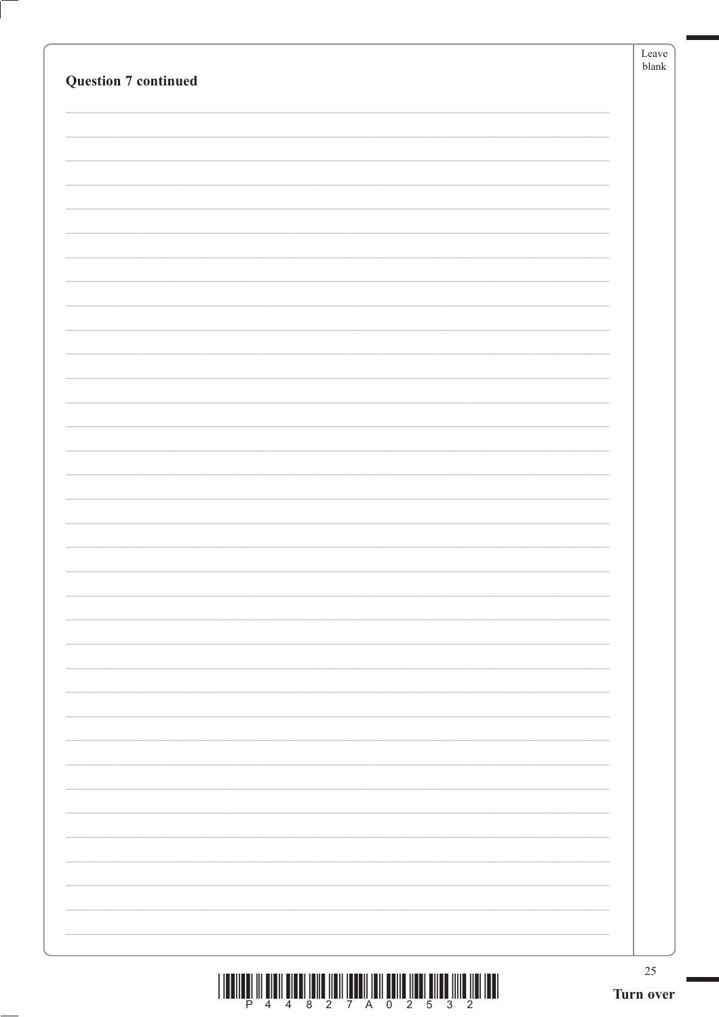| <b>Question 7 continued</b><br>$25\,$<br>Turn over |  | Leave<br>$b$ lank |
|----------------------------------------------------|--|-------------------|
|                                                    |  |                   |
|                                                    |  |                   |
|                                                    |  |                   |
|                                                    |  |                   |
|                                                    |  |                   |
|                                                    |  |                   |
|                                                    |  |                   |
|                                                    |  |                   |
|                                                    |  |                   |
|                                                    |  |                   |
|                                                    |  |                   |
|                                                    |  |                   |
|                                                    |  |                   |
|                                                    |  |                   |
|                                                    |  |                   |
|                                                    |  |                   |
|                                                    |  |                   |
|                                                    |  |                   |
|                                                    |  |                   |
|                                                    |  |                   |
|                                                    |  |                   |
|                                                    |  |                   |
|                                                    |  |                   |
|                                                    |  |                   |
|                                                    |  |                   |
|                                                    |  |                   |
|                                                    |  |                   |
|                                                    |  |                   |
|                                                    |  |                   |
|                                                    |  |                   |
|                                                    |  |                   |
|                                                    |  |                   |
|                                                    |  |                   |
|                                                    |  |                   |
|                                                    |  |                   |
|                                                    |  |                   |
|                                                    |  |                   |
|                                                    |  |                   |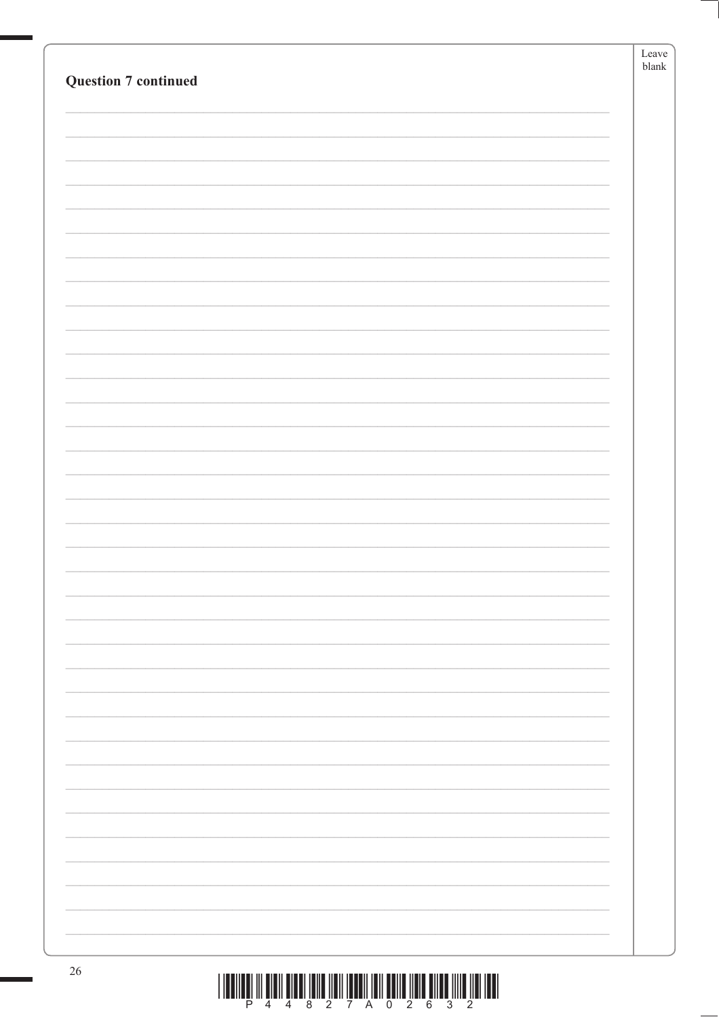| <b>Question 7 continued</b> | Leave<br>blank |
|-----------------------------|----------------|
|                             |                |
|                             |                |
|                             |                |
|                             |                |
|                             |                |
|                             |                |
|                             |                |
|                             |                |
|                             |                |
|                             |                |
|                             |                |
|                             |                |
|                             |                |
|                             |                |
|                             |                |
| 26                          |                |

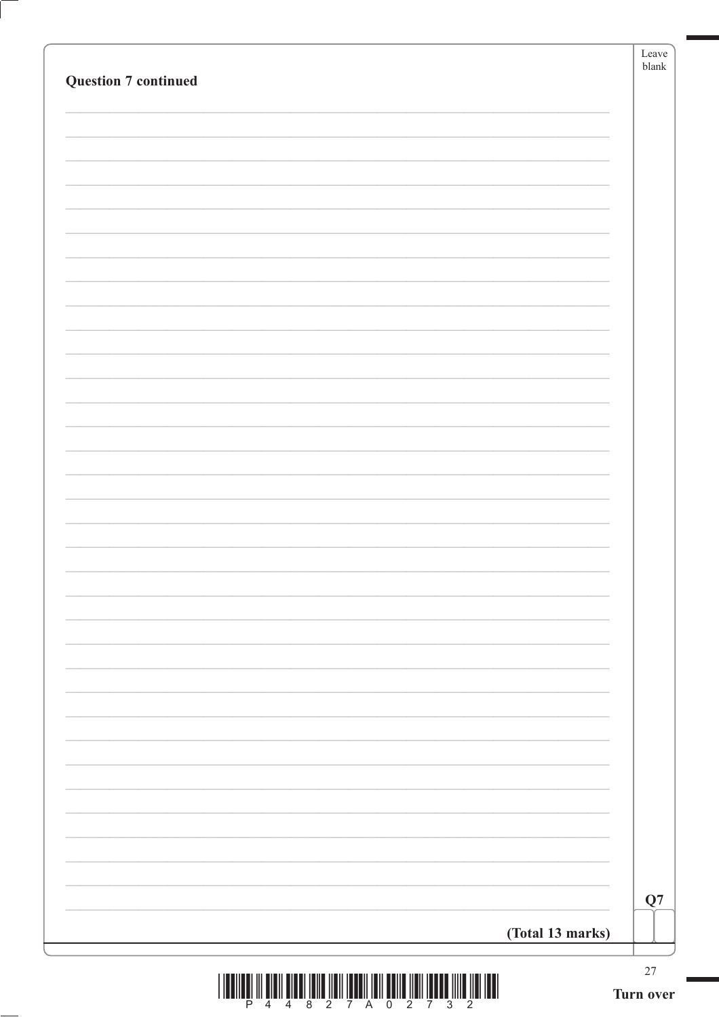| <b>Question 7 continued</b> | Leave<br>${\tt blank}$ |
|-----------------------------|------------------------|
|                             |                        |
|                             |                        |
|                             |                        |
|                             |                        |
|                             |                        |
|                             |                        |
|                             |                        |
|                             |                        |
|                             |                        |
|                             |                        |
|                             |                        |
|                             |                        |
|                             |                        |
|                             |                        |
|                             |                        |
|                             |                        |
|                             |                        |
|                             |                        |
|                             |                        |
|                             |                        |
|                             |                        |
|                             |                        |
|                             |                        |
|                             |                        |
|                             |                        |
|                             | Q7                     |
| (Total 13 marks)            |                        |
|                             | $27\,$                 |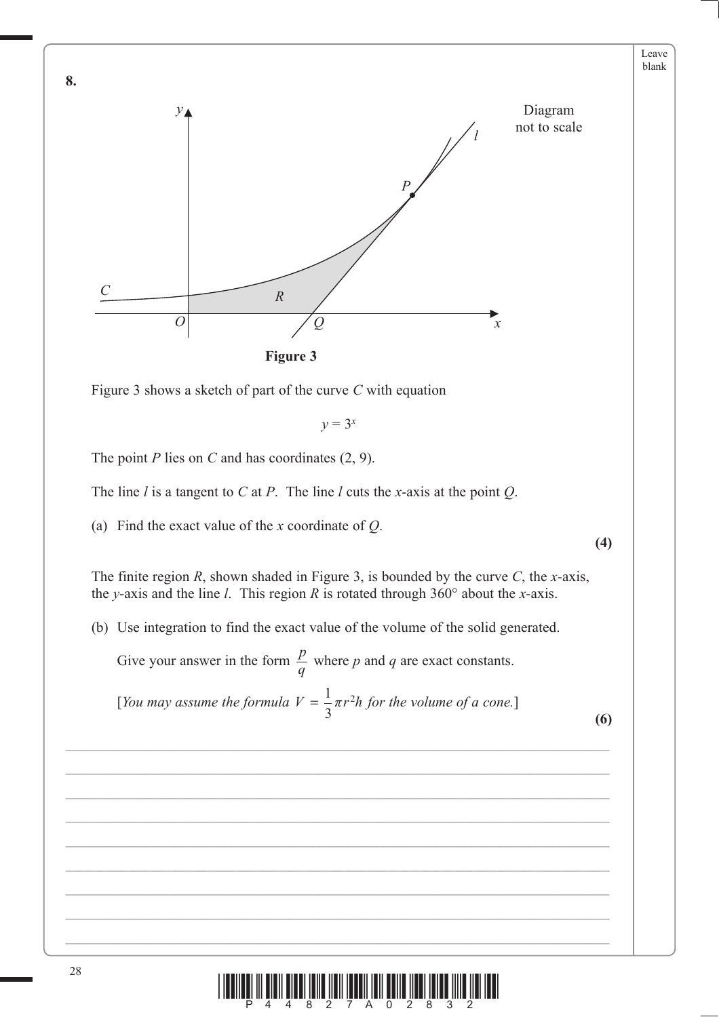

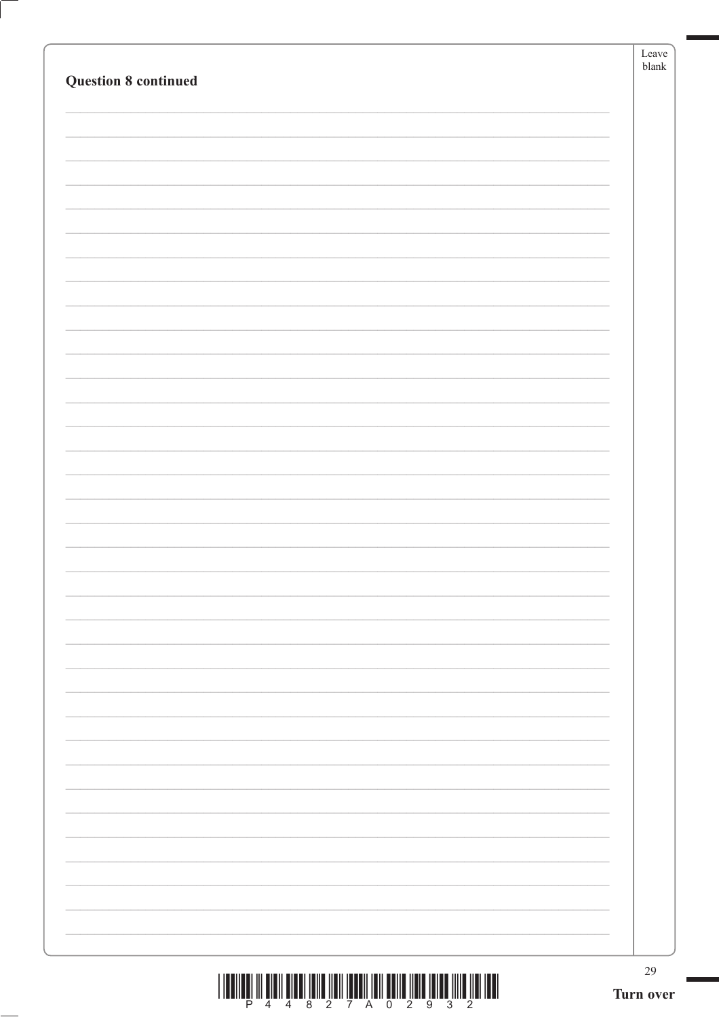|                             | Leave<br>$b$ lank |
|-----------------------------|-------------------|
| <b>Question 8 continued</b> |                   |
|                             |                   |
|                             |                   |
|                             |                   |
|                             |                   |
|                             |                   |
|                             |                   |
|                             |                   |
|                             |                   |
|                             |                   |
|                             |                   |
|                             |                   |
|                             |                   |
|                             |                   |
|                             |                   |
|                             |                   |
|                             |                   |
|                             |                   |
|                             |                   |
|                             |                   |
|                             |                   |
|                             |                   |
|                             |                   |
|                             |                   |
|                             |                   |
|                             |                   |
|                             |                   |
|                             |                   |
|                             |                   |
|                             |                   |
|                             |                   |
|                             |                   |
|                             |                   |
|                             |                   |
|                             |                   |
|                             |                   |
|                             |                   |
|                             | 29                |
|                             | Turn over         |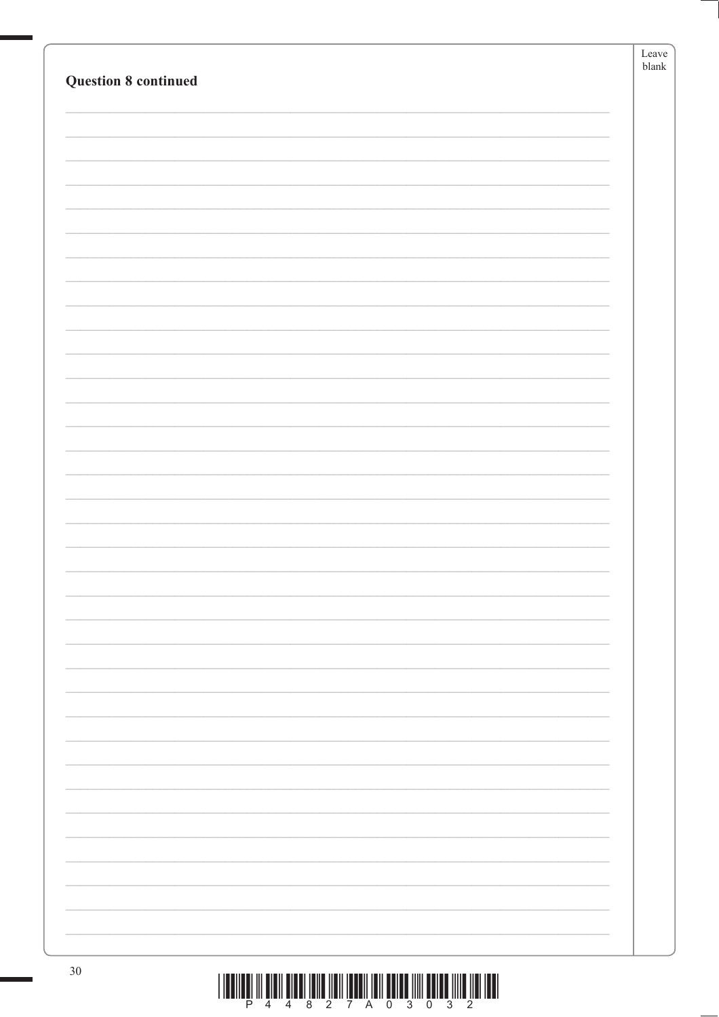|                             | Leave |
|-----------------------------|-------|
| <b>Question 8 continued</b> | blank |
|                             |       |
|                             |       |
|                             |       |
|                             |       |
|                             |       |
|                             |       |
|                             |       |
|                             |       |
|                             |       |
|                             |       |
|                             |       |
|                             |       |
|                             |       |
|                             |       |
|                             |       |
|                             |       |
|                             |       |
|                             |       |
|                             |       |
|                             |       |
|                             |       |
|                             |       |
|                             |       |
|                             |       |
|                             |       |
|                             |       |
|                             |       |
|                             |       |
|                             |       |
|                             |       |
|                             |       |
|                             |       |
|                             |       |
|                             |       |
|                             |       |
|                             |       |
|                             |       |
|                             |       |
|                             |       |
|                             |       |
|                             |       |
|                             |       |
| $30\,$                      |       |

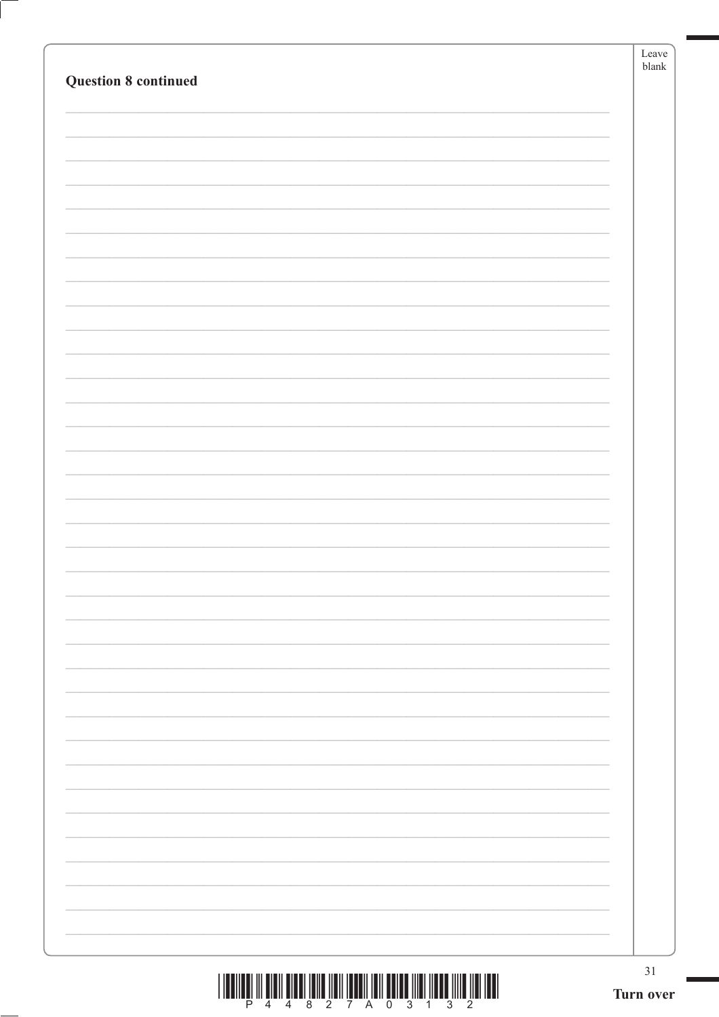|                             | Leave<br>$b$ lank |
|-----------------------------|-------------------|
| <b>Question 8 continued</b> |                   |
|                             |                   |
|                             |                   |
|                             |                   |
|                             |                   |
|                             |                   |
|                             |                   |
|                             |                   |
|                             |                   |
|                             |                   |
|                             |                   |
|                             |                   |
|                             |                   |
|                             |                   |
|                             |                   |
|                             |                   |
|                             |                   |
|                             |                   |
|                             |                   |
|                             |                   |
|                             |                   |
|                             |                   |
|                             |                   |
|                             |                   |
|                             |                   |
|                             |                   |
|                             |                   |
|                             |                   |
|                             |                   |
|                             |                   |
|                             |                   |
|                             |                   |
|                             |                   |
|                             |                   |
|                             |                   |
|                             |                   |
|                             | 31                |
|                             | Turn over         |